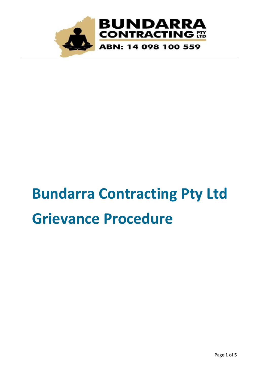

# **Bundarra Contracting Pty Ltd Grievance Procedure**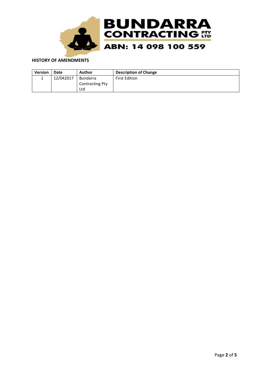

#### **HISTORY OF AMENDMENTS**

| <b>Version</b> | Date      | <b>Author</b>          | <b>Description of Change</b> |
|----------------|-----------|------------------------|------------------------------|
|                | 12/042017 | <b>Bundarra</b>        | <b>First Edition</b>         |
|                |           | <b>Contracting Pty</b> |                              |
|                |           | Ltd                    |                              |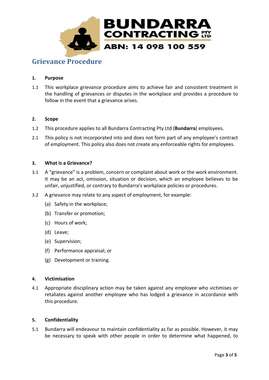

# **Grievance Procedure**

# **1. Purpose**

1.1 This workplace grievance procedure aims to achieve fair and consistent treatment in the handling of grievances or disputes in the workplace and provides a procedure to follow in the event that a grievance arises.

# **2. Scope**

- 1.2 This procedure applies to all Bundarra Contracting Pty Ltd (**Bundarra**) employees.
- 2.1 This policy is not incorporated into and does not form part of any employee's contract of employment. This policy also does not create any enforceable rights for employees.

# **3. What is a Grievance?**

- 3.1 A "grievance" is a problem, concern or complaint about work or the work environment. It may be an act, omission, situation or decision, which an employee believes to be unfair, unjustified, or contrary to Bundarra's workplace policies or procedures.
- 3.2 A grievance may relate to any aspect of employment, for example:
	- (a) Safety in the workplace;
	- (b) Transfer or promotion;
	- (c) Hours of work;
	- (d) Leave;
	- (e) Supervision;
	- (f) Performance appraisal; or
	- (g) Development or training.

# **4. Victimisation**

4.1 Appropriate disciplinary action may be taken against any employee who victimises or retaliates against another employee who has lodged a grievance in accordance with this procedure.

# **5. Confidentiality**

5.1 Bundarra will endeavour to maintain confidentiality as far as possible. However, it may be necessary to speak with other people in order to determine what happened, to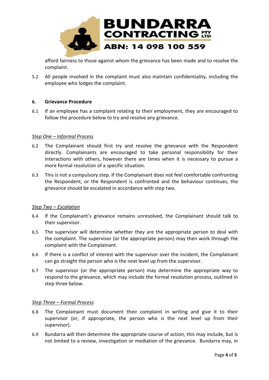

afford fairness to those against whom the grievance has been made and to resolve the complaint.

5.2 All people involved in the complaint must also maintain confidentiality, including the employee who lodges the complaint.

# **6. Grievance Procedure**

6.1 If an employee has a complaint relating to their employment, they are encouraged to follow the procedure below to try and resolve any grievance.

#### *Step One – Informal Process*

- 6.2 The Complainant should first try and resolve the grievance with the Respondent directly. Complainants are encouraged to take personal responsibility for their interactions with others, however there are times when it is necessary to pursue a more formal resolution of a specific situation.
- 6.3 This is not a compulsory step. If the Complainant does not feel comfortable confronting the Respondent, or the Respondent is confronted and the behaviour continues, the grievance should be escalated in accordance with step two.

# *Step Two – Escalation*

- 6.4 If the Complainant's grievance remains unresolved, the Complainant should talk to their supervisor.
- 6.5 The supervisor will determine whether they are the appropriate person to deal with the complaint. The supervisor (or the appropriate person) may then work through the complaint with the Complainant.
- 6.6 If there is a conflict of interest with the supervisor over the incident, the Complainant can go straight the person who is the next level up from the supervisor.
- 6.7 The supervisor (or the appropriate person) may determine the appropriate way to respond to the grievance, which may include the formal resolution process, outlined in step three below.

#### *Step Three – Formal Process*

- 6.8 The Complainant must document their complaint in writing and give it to their supervisor (or, if appropriate, the person who is the next level up from their supervisor).
- 6.9 Bundarra will then determine the appropriate course of action, this may include, but is not limited to a review, investigation or mediation of the grievance. Bundarra may, in